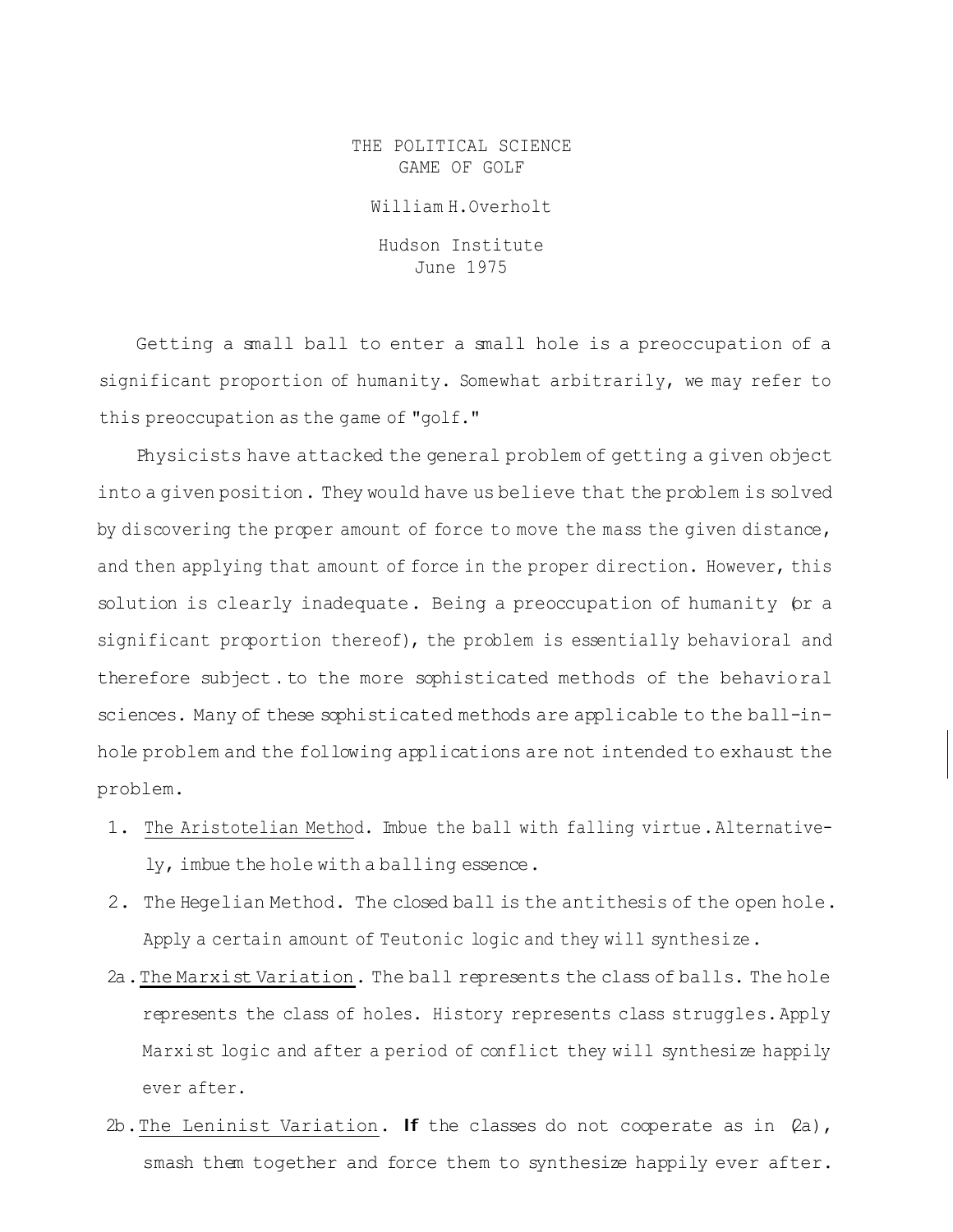THE POLITICAL SCIENCE GAME OF GOLF

William H.Overholt

Hudson Institute June 1975

Getting a small ball to enter a small hole is a preoccupation of a significant proportion of humanity. Somewhat arbitrarily, we may refer to this preoccupation as the game of "golf."

Physicists have attacked the general problem of getting a given object into a given position. They would have us believe that the problem is solved by discovering the proper amount of force to move the mass the given distance, and then applying that amount of force in the proper direction. However, this solution is clearly inadequate. Being a preoccupation of humanity (or a significant proportion thereof), the problem is essentially behavioral and therefore subject . to the more sophisticated methods of the behavioral sciences. Many of these sophisticated methods are applicable to the ball-inhole problem and the following applications are not intended to exhaust the problem.

- 1. The Aristotelian Method. Imbue the ball with falling virtue.Alternatively, imbue the hole with a balling essence.
- 2. The Hegelian Method. The closed ball is the antithesis of the open hole. Apply a certain amount of Teutonic logic and they will synthesize.
- 2a.The Marxist Variation. The ball represents the class of balls. The hole represents the class of holes. History represents class struggles.Apply Marxist logic and after a period of conflict they will synthesize happily ever after.
- 2b. The Leninist Variation. If the classes do not cooperate as in  $\varphi$ a), smash them together and force them to synthesize happily ever after.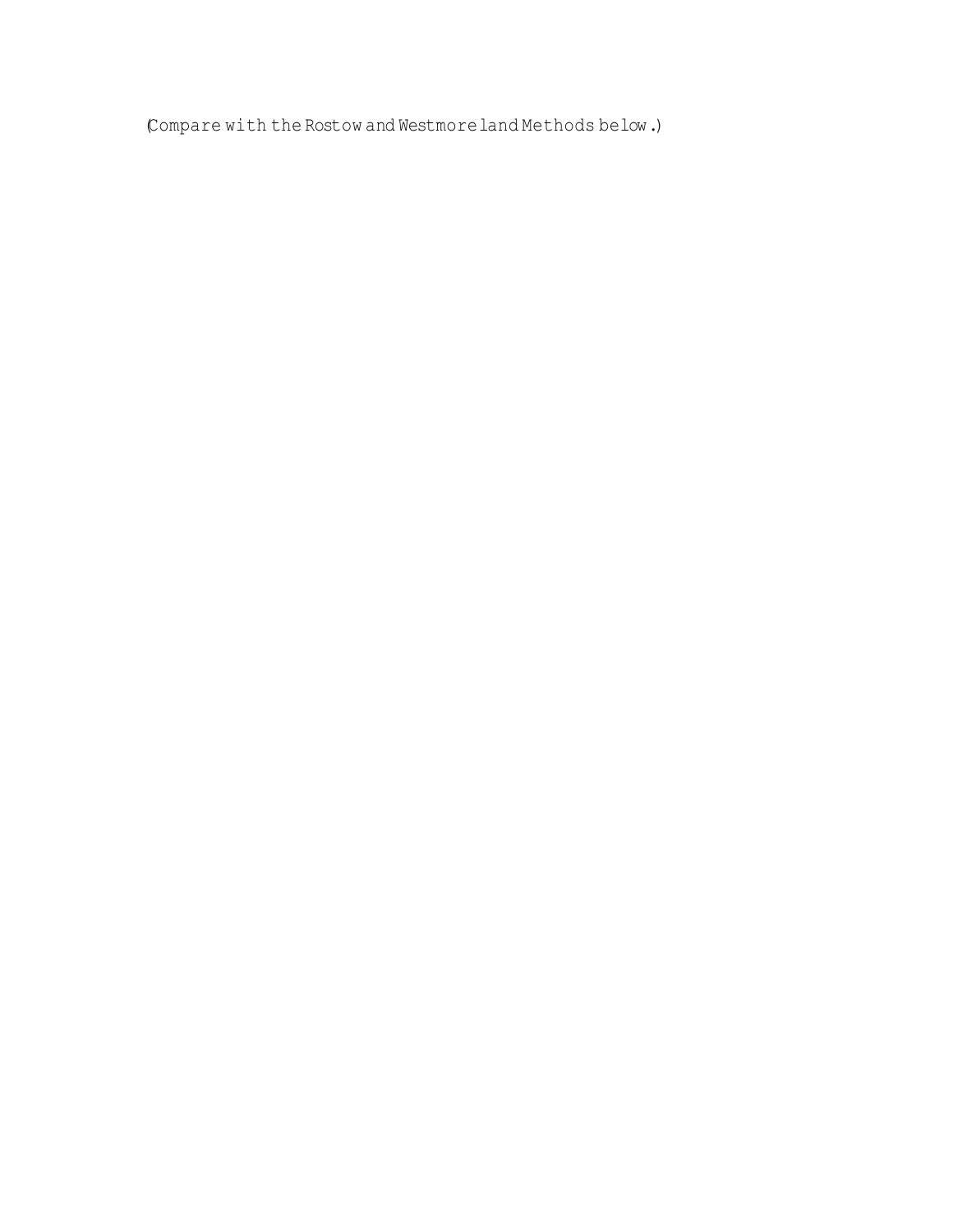(Compare with the Rostow and Westmoreland Methods below.)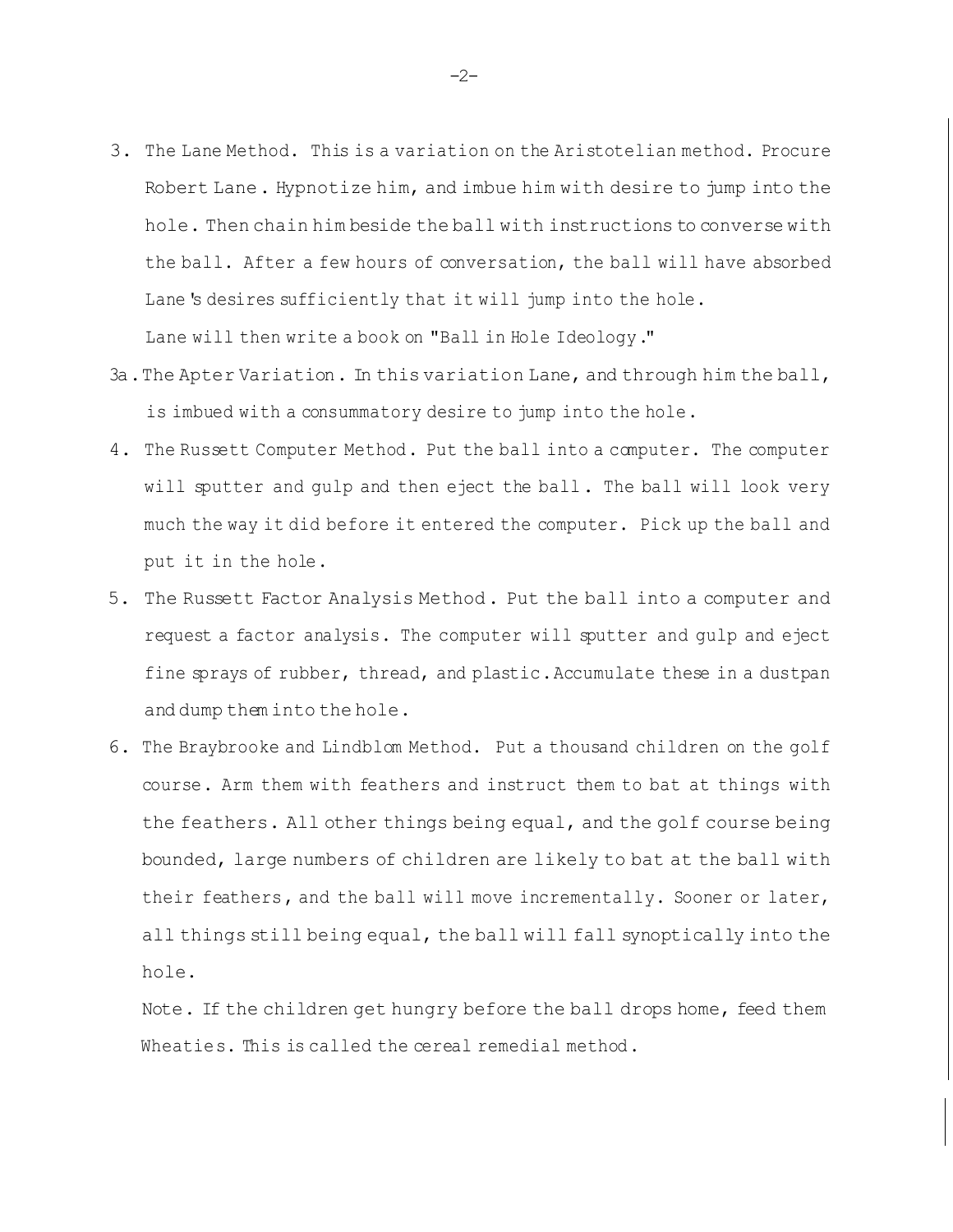- 3. The Lane Method. This is a variation on the Aristotelian method. Procure Robert Lane. Hypnotize him, and imbue him with desire to jump into the hole. Then chain him beside the ball with instructions to converse with the ball. After a few hours of conversation, the ball will have absorbed Lane's desires sufficiently that it will jump into the hole. Lane will then write a book on "Ball in Hole Ideology."
- 3a.The Apter Variation. In this variation Lane, and through him the ball, is imbued with a consummatory desire to jump into the hole.
- 4. The Russett Computer Method. Put the ball into a computer. The computer will sputter and gulp and then eject the ball. The ball will look very much the way it did before it entered the computer. Pick up the ball and put it in the hole.
- 5. The Russett Factor Analysis Method. Put the ball into a computer and request a factor analysis. The computer will sputter and gulp and eject fine sprays of rubber, thread, and plastic.Accumulate these in a dustpan and dump them into the hole.
- 6. The Braybrooke and Lindblom Method. Put a thousand children on the golf course. Arm them with feathers and instruct them to bat at things with the feathers. All other things being equal, and the golf course being bounded, large numbers of children are likely to bat at the ball with their feathers, and the ball will move incrementally. Sooner or later, all things still being equal, the ball will fall synoptically into the hole.

Note. If the children get hungry before the ball drops home, feed them Wheaties. This is called the cereal remedial method.

-2-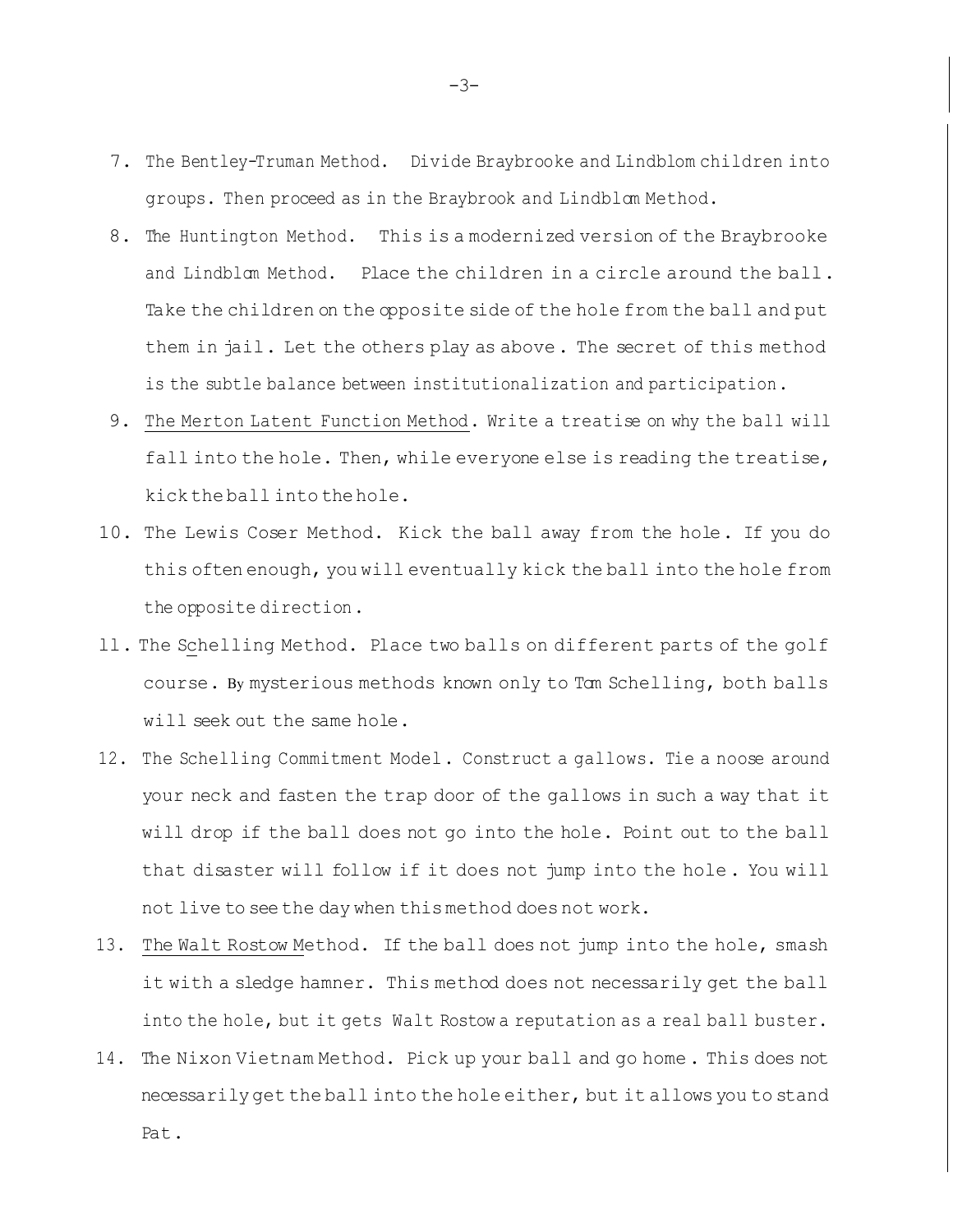- 7. The Bentley-Truman Method. Divide Braybrooke and Lindblom children into groups. Then proceed as in the Braybrook and Lindblom Method.
- 8. The Huntington Method. This is a modernized version of the Braybrooke and Lindblom Method. Place the children in a circle around the ball. Take the children on the opposite side of the hole from the ball and put them in jail. Let the others play as above. The secret of this method is the subtle balance between institutionalization and participation.
- 9. The Merton Latent Function Method. Write a treatise on why the ball will fall into the hole. Then, while everyone else is reading the treatise, kickthe ball into thehole.
- 10. The Lewis Coser Method. Kick the ball away from the hole. If you do this often enough, you will eventually kick the ball into the hole from the opposite direction.
- ll. The Schelling Method. Place two balls on different parts of the golf course. By mysterious methods known only to Tom Schelling, both balls will seek out the same hole.
- 12. The Schelling Commitment Model. Construct a gallows. Tie a noose around your neck and fasten the trap door of the gallows in such a way that it will drop if the ball does not go into the hole. Point out to the ball that disaster will follow if it does not jump into the hole . You will not live to seethe day when thismethod does not work.
- 13. The Walt Rostow Method. If the ball does not jump into the hole, smash it with a sledge hamner. This method does not necessarily get the ball into the hole, but it gets Walt Rostow a reputation as a real ball buster.
- 14. The Nixon Vietnam Method. Pick up your ball and go home. This does not necessarily get the ball into the hole either, but it allowsyou to stand Pat.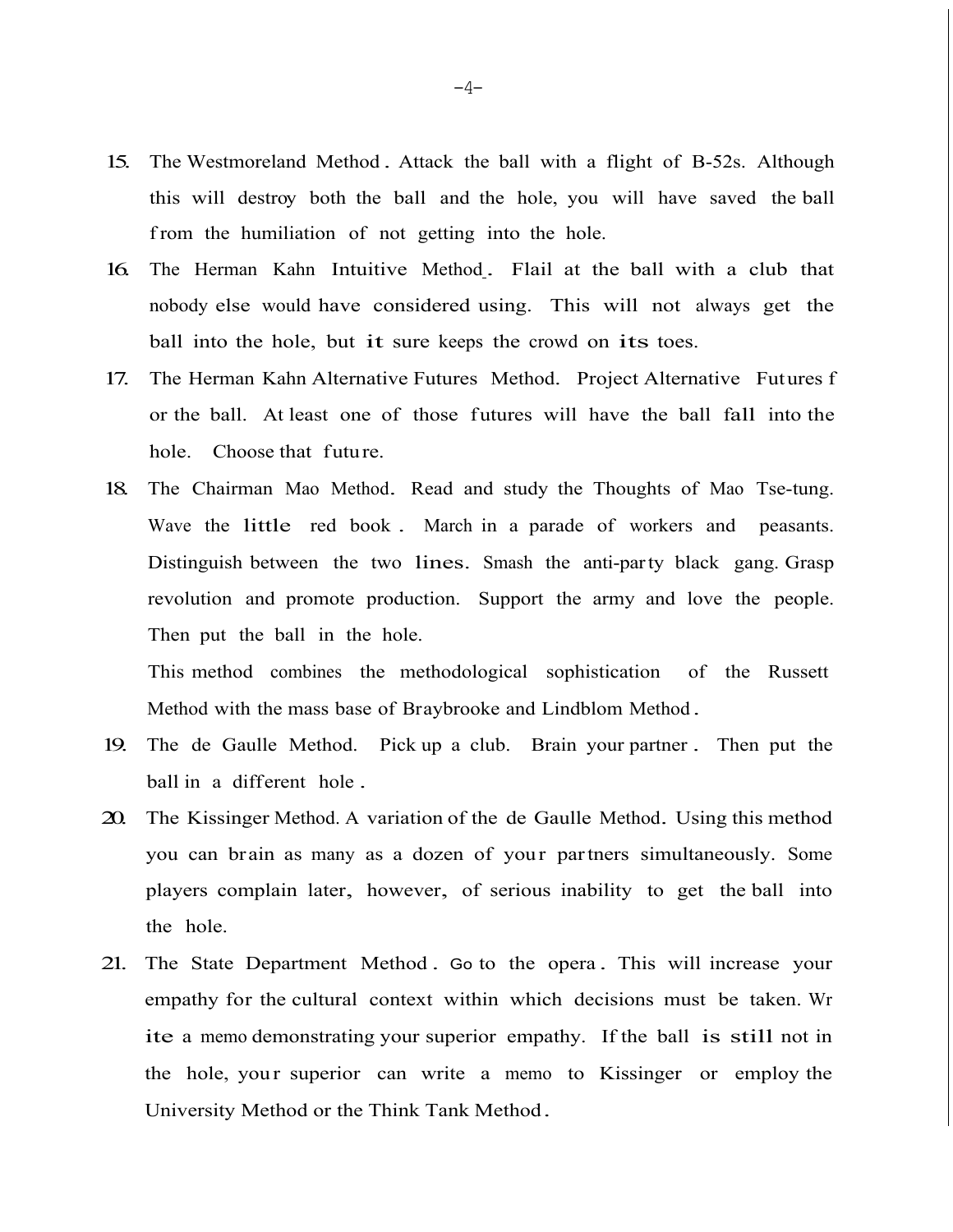- 15. The Westmoreland Method . Attack the ball with a flight of B-52s. Although this will destroy both the ball and the hole, you will have saved the ball from the humiliation of not getting into the hole.
- 16. The Herman Kahn Intuitive Method . Flail at the ball with a club that nobody else would have considered using. This will not always get the ball into the hole, but it sure keeps the crowd on its toes.
- 17. The Herman Kahn Alternative Futures Method. Project Alternative Futures f or the ball. At least one of those futures will have the ball fall into the hole. Choose that future.
- 18. The Chairman Mao Method. Read and study the Thoughts of Mao Tse-tung. Wave the little red book . March in a parade of workers and peasants. Distinguish between the two lines. Smash the anti-party black gang. Grasp revolution and promote production. Support the army and love the people. Then put the ball in the hole.

This method combines the methodological sophistication of the Russett Method with the mass base of Braybrooke and Lindblom Method .

- 19. The de Gaulle Method. Pick up a club. Brain your partner . Then put the ball in a different hole .
- 20. The Kissinger Method. <sup>A</sup> variation of the de Gaulle Method. Using this method you can brain as many as a dozen of your partners simultaneously. Some players complain later, however, of serious inability to get the ball into the hole.
- 21. The State Department Method . Go to the opera . This will increase your empathy for the cultural context within which decisions must be taken. Wr ite a memo demonstrating your superior empathy. If the ball is still not in the hole, your superior can write a memo to Kissinger or employ the University Method or the Think Tank Method.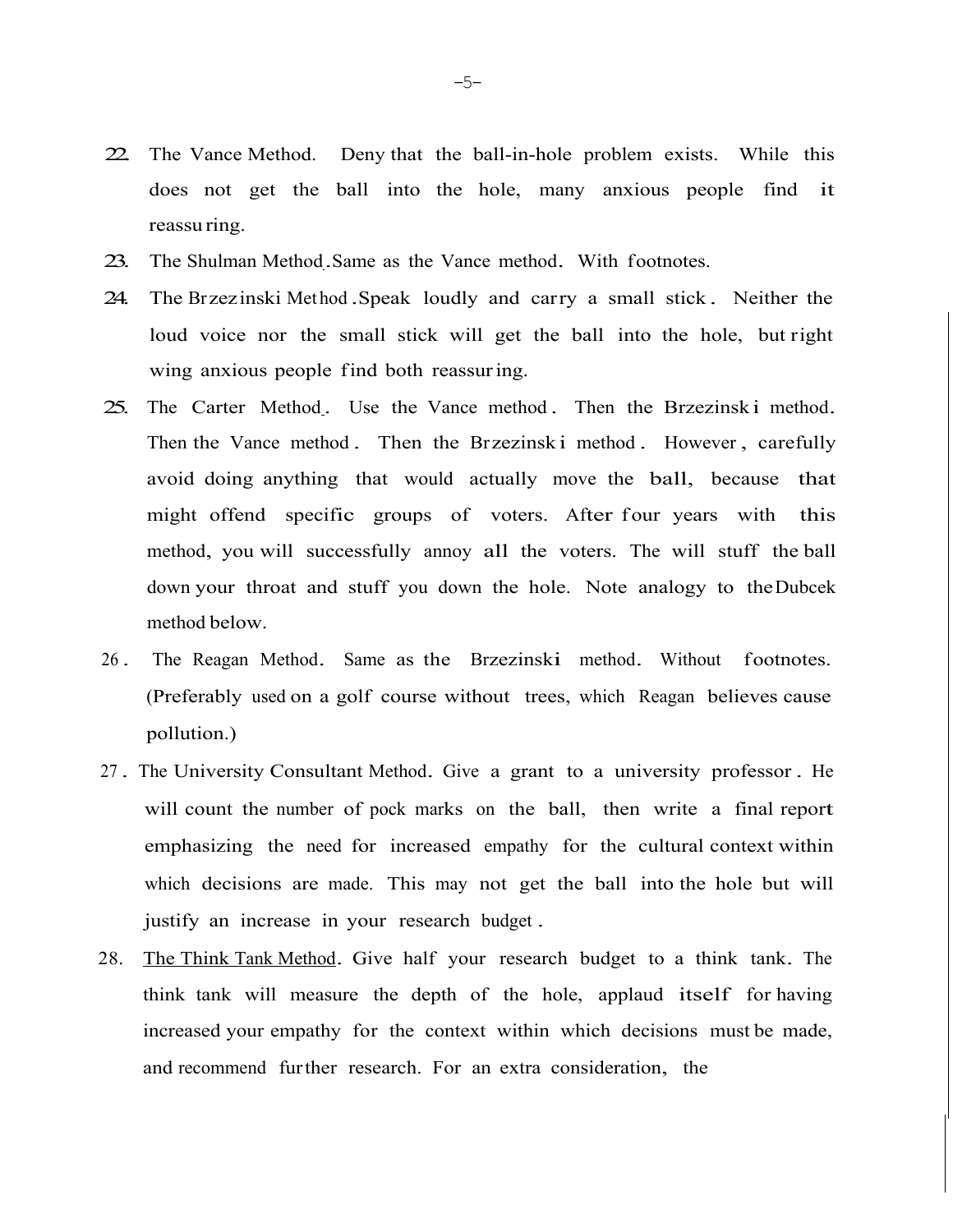- 22. The Vance Method. Deny that the ball-in-hole problem exists. While this does not get the ball into the hole, many anxious people find it reassu ring.
- 23. The Shulman Method.Same as the Vance method. With footnotes.
- 24. The Brzezinski Met hod .Speak loudly and carry a small stick . Neither the loud voice nor the small stick will get the ball into the hole, but right wing anxious people find both reassuring.
- 25. The Carter Method. Use the Vance method. Then the Brzezinski method. Then the Vance method. Then the Brzezinsk i method. However, carefully avoid doing anything that would actually move the ball, because that might offend specific groups of voters. After four years with this method, you will successfully annoy all the voters. The will stuff the ball down your throat and stuff you down the hole. Note analogy to theDubcek method below.
- <sup>26</sup> . The Reagan Method. Same as the Brzezinski method. Without footnotes. (Preferably used on a golf course without trees, which Reagan believes cause pollution.)
- <sup>27</sup> . The University Consultant Method. Give a grant to a university professor . He will count the number of pock marks on the ball, then write a final report emphasizing the need for increased empathy for the cultural context within which decisions are made. This may not get the ball into the hole but will justify an increase in your research budget .
- 28. The Think Tank Method. Give half your research budget to a think tank. The think tank will measure the depth of the hole, applaud itself for having increased your empathy for the context within which decisions must be made, and recommend further research. For an extra consideration, the